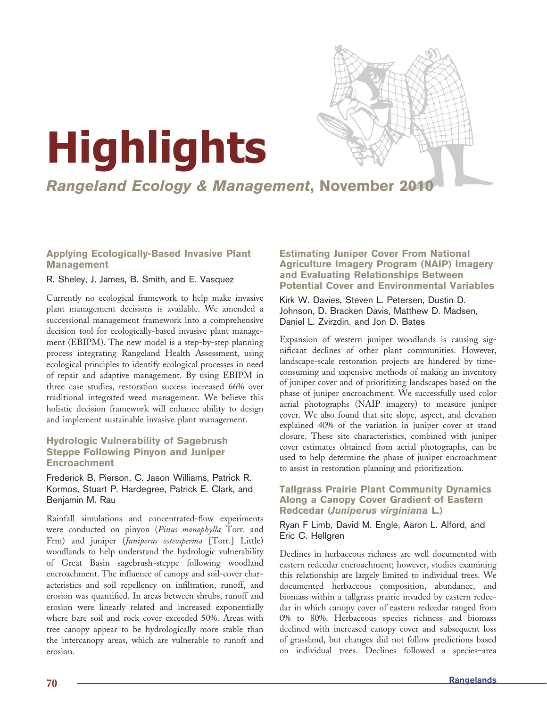

# **Highlights**

# *Rangeland Ecology & Management***, November 2010**

# **Applying Ecologically-Based Invasive Plant Management**

# R. Sheley, J. James, B. Smith, and E. Vasquez

Currently no ecological framework to help make invasive plant management decisions is available. We amended a successional management framework into a comprehensive decision tool for ecologically-based invasive plant management (EBIPM). The new model is a step-by-step planning process integrating Rangeland Health Assessment, using ecological principles to identify ecological processes in need of repair and adaptive management. By using EBIPM in three case studies, restoration success increased 66% over traditional integrated weed management. We believe this holistic decision framework will enhance ability to design and implement sustainable invasive plant management.

# **Hydrologic Vulnerability of Sagebrush Steppe Following Pinyon and Juniper Encroachment**

Frederick B. Pierson, C. Jason Williams, Patrick R. Kormos, Stuart P. Hardegree, Patrick E. Clark, and Benjamin M. Rau

Rainfall simulations and concentrated-flow experiments were conducted on pinyon (*Pinus monophylla* Torr. and Frm) and juniper (*Juniperus osteosperma* [Torr.] Little) woodlands to help understand the hydrologic vulnerability of Great Basin sagebrush-steppe following woodland encroachment. The influence of canopy and soil-cover characteristics and soil repellency on infiltration, runoff, and erosion was quantified. In areas between shrubs, runoff and erosion were linearly related and increased exponentially where bare soil and rock cover exceeded 50%. Areas with tree canopy appear to be hydrologically more stable than the intercanopy areas, which are vulnerable to runoff and erosion.

# **Estimating Juniper Cover From National Agriculture Imagery Program (NAIP) Imagery and Evaluating Relationships Between Potential Cover and Environmental Variables**

Kirk W. Davies, Steven L. Petersen, Dustin D. Johnson, D. Bracken Davis, Matthew D. Madsen, Daniel L. Zvirzdin, and Jon D. Bates

Expansion of western juniper woodlands is causing significant declines of other plant communities. However, landscape-scale restoration projects are hindered by timeconsuming and expensive methods of making an inventory of juniper cover and of prioritizing landscapes based on the phase of juniper encroachment. We successfully used color aerial photographs (NAIP imagery) to measure juniper cover. We also found that site slope, aspect, and elevation explained 40% of the variation in juniper cover at stand closure. These site characteristics, combined with juniper cover estimates obtained from aerial photographs, can be used to help determine the phase of juniper encroachment to assist in restoration planning and prioritization.

# **Tallgrass Prairie Plant Community Dynamics Along a Canopy Cover Gradient of Eastern Redcedar (***Juniperus virginiana* **L.)**

#### Ryan F Limb, David M. Engle, Aaron L. Alford, and Eric C. Hellgren

Declines in herbaceous richness are well documented with eastern redcedar encroachment; however, studies examining this relationship are largely limited to individual trees. We documented herbaceous composition, abundance, and biomass within a tallgrass prairie invaded by eastern redcedar in which canopy cover of eastern redcedar ranged from 0% to 80%. Herbaceous species richness and biomass declined with increased canopy cover and subsequent loss of grassland, but changes did not follow predictions based on individual trees. Declines followed a species–area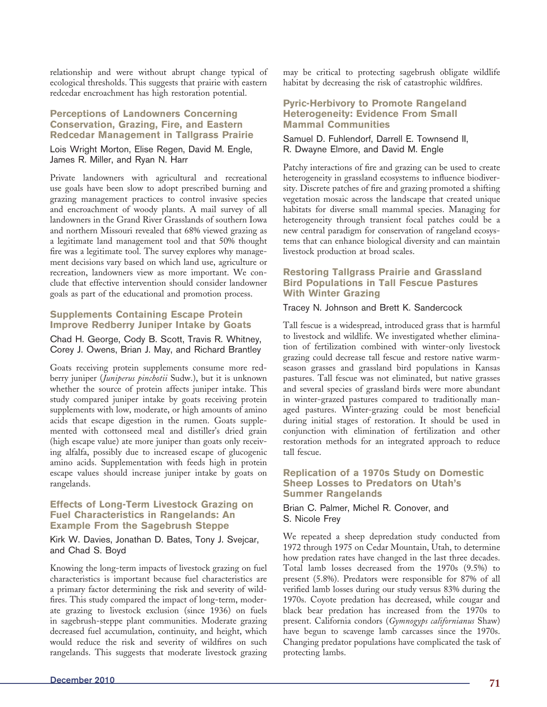relationship and were without abrupt change typical of ecological thresholds. This suggests that prairie with eastern redcedar encroachment has high restoration potential.

# **Perceptions of Landowners Concerning Conservation, Grazing, Fire, and Eastern Redcedar Management in Tallgrass Prairie**

Lois Wright Morton, Elise Regen, David M. Engle, James R. Miller, and Ryan N. Harr

Private landowners with agricultural and recreational use goals have been slow to adopt prescribed burning and grazing management practices to control invasive species and encroachment of woody plants. A mail survey of all landowners in the Grand River Grasslands of southern Iowa and northern Missouri revealed that 68% viewed grazing as a legitimate land management tool and that 50% thought fire was a legitimate tool. The survey explores why management decisions vary based on which land use, agriculture or recreation, landowners view as more important. We conclude that effective intervention should consider landowner goals as part of the educational and promotion process.

#### **Supplements Containing Escape Protein Improve Redberry Juniper Intake by Goats**

Chad H. George, Cody B. Scott, Travis R. Whitney, Corey J. Owens, Brian J. May, and Richard Brantley

Goats receiving protein supplements consume more redberry juniper (*Juniperus pinchotii* Sudw.), but it is unknown whether the source of protein affects juniper intake. This study compared juniper intake by goats receiving protein supplements with low, moderate, or high amounts of amino acids that escape digestion in the rumen. Goats supplemented with cottonseed meal and distiller's dried grain (high escape value) ate more juniper than goats only receiving alfalfa, possibly due to increased escape of glucogenic amino acids. Supplementation with feeds high in protein escape values should increase juniper intake by goats on rangelands.

#### **Effects of Long-Term Livestock Grazing on Fuel Characteristics in Rangelands: An Example From the Sagebrush Steppe**

Kirk W. Davies, Jonathan D. Bates, Tony J. Svejcar, and Chad S. Boyd

Knowing the long-term impacts of livestock grazing on fuel characteristics is important because fuel characteristics are a primary factor determining the risk and severity of wildfires. This study compared the impact of long-term, moderate grazing to livestock exclusion (since 1936) on fuels in sagebrush-steppe plant communities. Moderate grazing decreased fuel accumulation, continuity, and height, which would reduce the risk and severity of wildfires on such rangelands. This suggests that moderate livestock grazing may be critical to protecting sagebrush obligate wildlife habitat by decreasing the risk of catastrophic wildfires.

#### **Pyric-Herbivory to Promote Rangeland Heterogeneity: Evidence From Small Mammal Communities**

#### Samuel D. Fuhlendorf, Darrell E. Townsend II, R. Dwayne Elmore, and David M. Engle

Patchy interactions of fire and grazing can be used to create heterogeneity in grassland ecosystems to influence biodiversity. Discrete patches of fire and grazing promoted a shifting vegetation mosaic across the landscape that created unique habitats for diverse small mammal species. Managing for heterogeneity through transient focal patches could be a new central paradigm for conservation of rangeland ecosystems that can enhance biological diversity and can maintain livestock production at broad scales.

#### **Restoring Tallgrass Prairie and Grassland Bird Populations in Tall Fescue Pastures With Winter Grazing**

#### Tracey N. Johnson and Brett K. Sandercock

Tall fescue is a widespread, introduced grass that is harmful to livestock and wildlife. We investigated whether elimination of fertilization combined with winter-only livestock grazing could decrease tall fescue and restore native warmseason grasses and grassland bird populations in Kansas pastures. Tall fescue was not eliminated, but native grasses and several species of grassland birds were more abundant in winter-grazed pastures compared to traditionally managed pastures. Winter-grazing could be most beneficial during initial stages of restoration. It should be used in conjunction with elimination of fertilization and other restoration methods for an integrated approach to reduce tall fescue.

#### **Replication of a 1970s Study on Domestic Sheep Losses to Predators on Utah's Summer Rangelands**

#### Brian C. Palmer, Michel R. Conover, and S. Nicole Frey

We repeated a sheep depredation study conducted from 1972 through 1975 on Cedar Mountain, Utah, to determine how predation rates have changed in the last three decades. Total lamb losses decreased from the 1970s (9.5%) to present (5.8%). Predators were responsible for 87% of all verified lamb losses during our study versus 83% during the 1970s. Coyote predation has decreased, while cougar and black bear predation has increased from the 1970s to present. California condors (*Gymnogyps californianus* Shaw) have begun to scavenge lamb carcasses since the 1970s. Changing predator populations have complicated the task of protecting lambs.